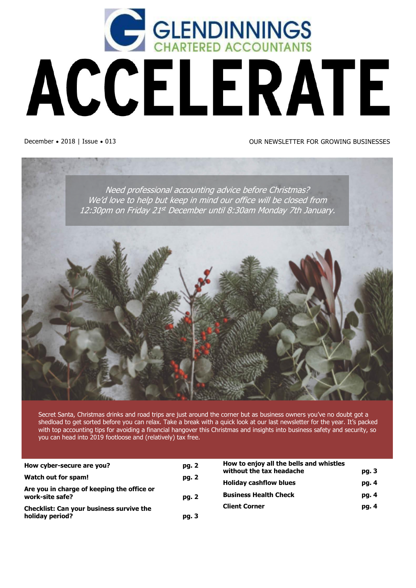

#### December • 2018 | Issue • 013 OUR NEWSLETTER FOR GROWING BUSINESSES

![](_page_0_Picture_3.jpeg)

Secret Santa, Christmas drinks and road trips are just around the corner but as business owners you've no doubt got a shedload to get sorted before you can relax. Take a break with a quick look at our last newsletter for the year. It's packed with top accounting tips for avoiding a financial hangover this Christmas and insights into business safety and security, so you can head into 2019 footloose and (relatively) tax free[.](http://www.lawcom.govt.nz/our-projects/law-trusts)

| How cyber-secure are you?                                     | pg. 2 | How to enjoy all the bells and whistles<br>without the tax headache<br><b>Holiday cashflow blues</b> | pg. 3 |
|---------------------------------------------------------------|-------|------------------------------------------------------------------------------------------------------|-------|
| Watch out for spam!                                           | pg. 2 |                                                                                                      | pg. 4 |
| Are you in charge of keeping the office or<br>work-site safe? |       |                                                                                                      |       |
|                                                               | pg. 2 | <b>Business Health Check</b>                                                                         | pg. 4 |
| Checklist: Can your business survive the                      |       | <b>Client Corner</b>                                                                                 | pg. 4 |
| holiday period?                                               | pg. 3 |                                                                                                      |       |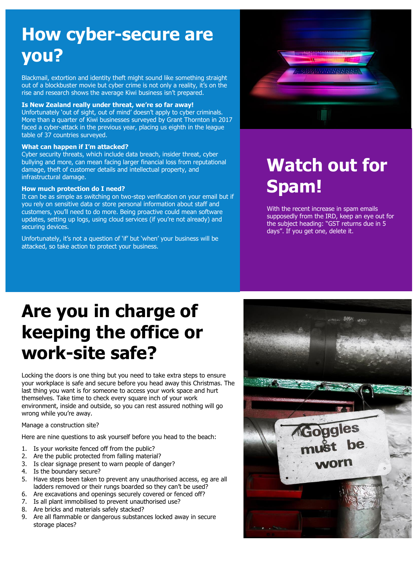### **How cyber-secure are you?**

Blackmail, extortion and identity theft might sound like something straight out of a blockbuster movie but cyber crime is not only a reality, it's on the rise and research shows the average Kiwi business isn't prepared.

#### **Is New Zealand really under threat, we're so far away!**

Unfortunately 'out of sight, out of mind' doesn't apply to cyber criminals. More than a quarter of Kiwi businesses surveyed by Grant Thornton in 2017 faced a cyber-attack in the previous year, placing us eighth in the league table of 37 countries surveyed.

#### **What can happen if I'm attacked?**

Cyber security threats, which include data breach, insider threat, cyber bullying and more, can mean facing larger financial loss from reputational damage, theft of customer details and intellectual property, and infrastructural damage.

#### **How much protection do I need?**

It can be as simple as switching on two-step verification on your email but if you rely on sensitive data or store personal information about staff and customers, you'll need to do more. Being proactive could mean software updates, setting up logs, using cloud services (if you're not already) and securing devices.

Unfortunately, it's not a question of 'if' but 'when' your business will be attacked, so take action to protect your business.

![](_page_1_Picture_9.jpeg)

## **Watch out for Spam!**

With the recent increase in spam emails supposedly from the IRD, keep an eye out for the subject heading: "GST returns due in 5 days". If you get one, delete it.

## **Are you in charge of keeping the office or work-site safe?**

Locking the doors is one thing but you need to take extra steps to ensure your workplace is safe and secure before you head away this Christmas. The last thing you want is for someone to access your work space and hurt themselves. Take time to check every square inch of your work environment, inside and outside, so you can rest assured nothing will go wrong while you're away.

#### Manage a construction site?

Here are nine questions to ask yourself before you head to the beach:

- 1. Is your worksite fenced off from the public?
- 2. Are the public protected from falling material?
- 3. Is clear signage present to warn people of danger?
- 4. Is the boundary secure?
- 5. Have steps been taken to prevent any unauthorised access, eg are all ladders removed or their rungs boarded so they can't be used?
- 6. Are excavations and openings securely covered or fenced off?
- 7. Is all plant immobilised to prevent unauthorised use?
- 8. Are bricks and materials safely stacked?
- 9. Are all flammable or dangerous substances locked away in secure storage places?

![](_page_1_Picture_25.jpeg)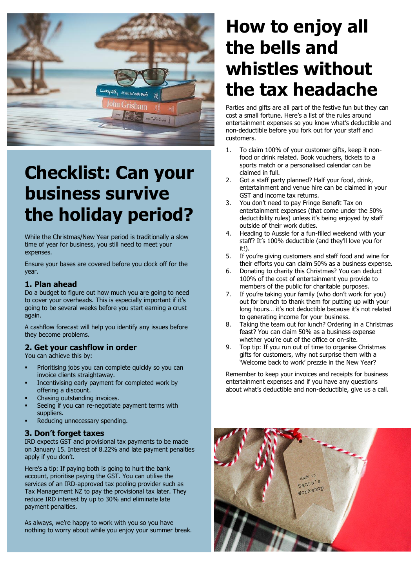![](_page_2_Picture_0.jpeg)

# **Checklist: Can your business survive the holiday period?**

While the Christmas/New Year period is traditionally a slow time of year for business, you still need to meet your expenses.

Ensure your bases are covered before you clock off for the year.

#### **1. Plan ahead**

Do a budget to figure out how much you are going to need to cover your overheads. This is especially important if it's going to be several weeks before you start earning a crust again.

A cashflow forecast will help you identify any issues before they become problems.

#### **2. Get your cashflow in order**

You can achieve this by:

- Prioritising jobs you can complete quickly so you can invoice clients straightaway.
- Incentivising early payment for completed work by offering a discount.
- Chasing outstanding invoices.
- Seeing if you can re-negotiate payment terms with suppliers.
- Reducing unnecessary spending.

#### **3. Don't forget taxes**

IRD expects GST and provisional tax payments to be made on January 15. Interest of 8.22% and late payment penalties apply if you don't.

Here's a tip: If paying both is going to hurt the bank account, prioritise paying the GST. You can utilise the services of an IRD-approved tax pooling provider such as Tax Management NZ to pay the provisional tax later. They reduce IRD interest by up to 30% and eliminate late payment penalties.

As always, we're happy to work with you so you have nothing to worry about while you enjoy your summer break.

## **How to enjoy all the bells and whistles without the tax headache**

Parties and gifts are all part of the festive fun but they can cost a small fortune. Here's a list of the rules around entertainment expenses so you know what's deductible and non-deductible before you fork out for your staff and customers.

- 1. To claim 100% of your customer gifts, keep it nonfood or drink related. Book vouchers, tickets to a sports match or a personalised calendar can be claimed in full.
- 2. Got a staff party planned? Half your food, drink, entertainment and venue hire can be claimed in your GST and income tax returns.
- 3. You don't need to pay Fringe Benefit Tax on entertainment expenses (that come under the 50% deductibility rules) unless it's being enjoyed by staff outside of their work duties.
- 4. Heading to Aussie for a fun-filled weekend with your staff? It's 100% deductible (and they'll love you for it!).
- 5. If you're giving customers and staff food and wine for their efforts you can claim 50% as a business expense.
- 6. Donating to charity this Christmas? You can deduct 100% of the cost of entertainment you provide to members of the public for charitable purposes.
- 7. If you're taking your family (who don't work for you) out for brunch to thank them for putting up with your long hours… it's not deductible because it's not related to generating income for your business.
- 8. Taking the team out for lunch? Ordering in a Christmas feast? You can claim 50% as a business expense whether you're out of the office or on-site.
- 9. Top tip: If you run out of time to organise Christmas gifts for customers, why not surprise them with a 'Welcome back to work' prezzie in the New Year?

Remember to keep your invoices and receipts for business entertainment expenses and if you have any questions about what's deductible and non-deductible, give us a call.

![](_page_2_Picture_30.jpeg)